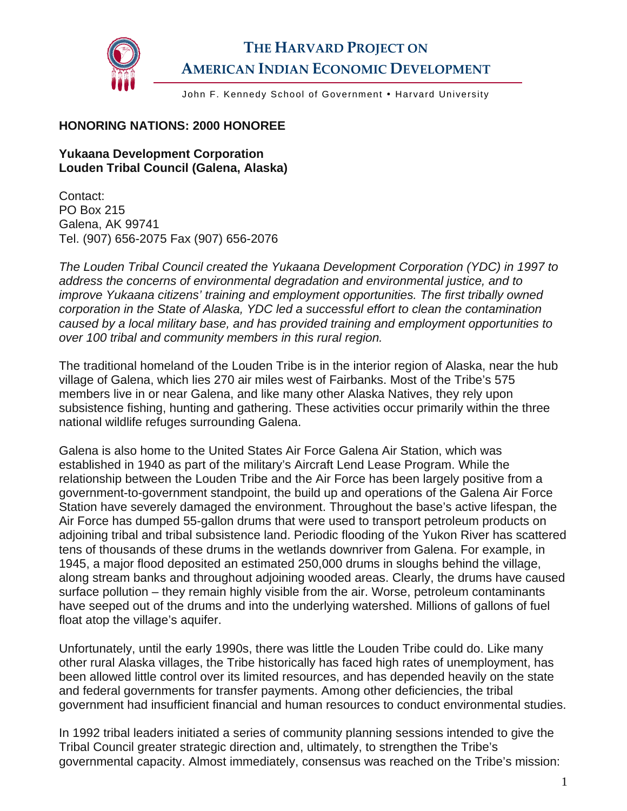

## **THE HARVARD PROJECT ON AMERICAN INDIAN ECONOMIC DEVELOPMENT**

John F. Kennedy School of Government . Harvard University

## **HONORING NATIONS: 2000 HONOREE**

## **Yukaana Development Corporation Louden Tribal Council (Galena, Alaska)**

Contact: PO Box 215 Galena, AK 99741 Tel. (907) 656-2075 Fax (907) 656-2076

*The Louden Tribal Council created the Yukaana Development Corporation (YDC) in 1997 to address the concerns of environmental degradation and environmental justice, and to improve Yukaana citizens' training and employment opportunities. The first tribally owned corporation in the State of Alaska, YDC led a successful effort to clean the contamination caused by a local military base, and has provided training and employment opportunities to over 100 tribal and community members in this rural region.* 

The traditional homeland of the Louden Tribe is in the interior region of Alaska, near the hub village of Galena, which lies 270 air miles west of Fairbanks. Most of the Tribe's 575 members live in or near Galena, and like many other Alaska Natives, they rely upon subsistence fishing, hunting and gathering. These activities occur primarily within the three national wildlife refuges surrounding Galena.

Galena is also home to the United States Air Force Galena Air Station, which was established in 1940 as part of the military's Aircraft Lend Lease Program. While the relationship between the Louden Tribe and the Air Force has been largely positive from a government-to-government standpoint, the build up and operations of the Galena Air Force Station have severely damaged the environment. Throughout the base's active lifespan, the Air Force has dumped 55-gallon drums that were used to transport petroleum products on adjoining tribal and tribal subsistence land. Periodic flooding of the Yukon River has scattered tens of thousands of these drums in the wetlands downriver from Galena. For example, in 1945, a major flood deposited an estimated 250,000 drums in sloughs behind the village, along stream banks and throughout adjoining wooded areas. Clearly, the drums have caused surface pollution – they remain highly visible from the air. Worse, petroleum contaminants have seeped out of the drums and into the underlying watershed. Millions of gallons of fuel float atop the village's aquifer.

Unfortunately, until the early 1990s, there was little the Louden Tribe could do. Like many other rural Alaska villages, the Tribe historically has faced high rates of unemployment, has been allowed little control over its limited resources, and has depended heavily on the state and federal governments for transfer payments. Among other deficiencies, the tribal government had insufficient financial and human resources to conduct environmental studies.

In 1992 tribal leaders initiated a series of community planning sessions intended to give the Tribal Council greater strategic direction and, ultimately, to strengthen the Tribe's governmental capacity. Almost immediately, consensus was reached on the Tribe's mission: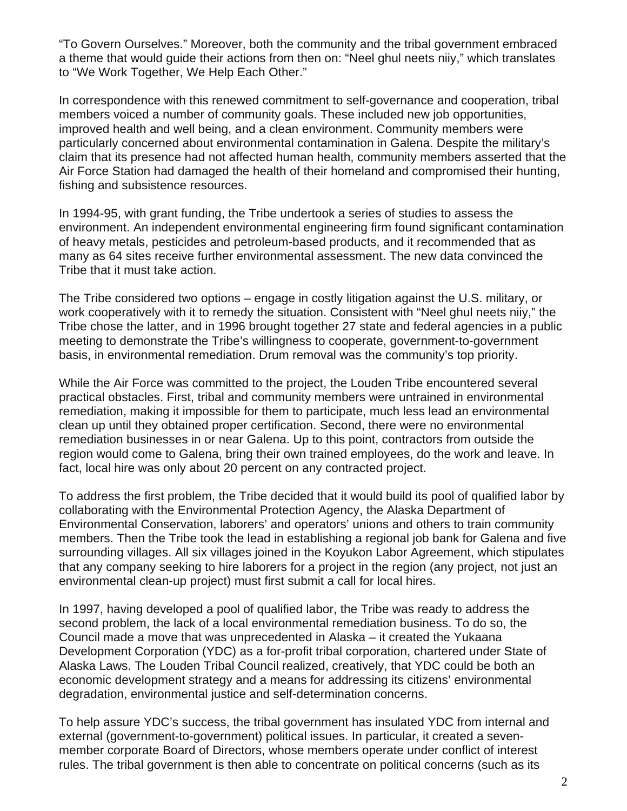"To Govern Ourselves." Moreover, both the community and the tribal government embraced a theme that would guide their actions from then on: "Neel ghul neets niiy," which translates to "We Work Together, We Help Each Other."

In correspondence with this renewed commitment to self-governance and cooperation, tribal members voiced a number of community goals. These included new job opportunities, improved health and well being, and a clean environment. Community members were particularly concerned about environmental contamination in Galena. Despite the military's claim that its presence had not affected human health, community members asserted that the Air Force Station had damaged the health of their homeland and compromised their hunting, fishing and subsistence resources.

In 1994-95, with grant funding, the Tribe undertook a series of studies to assess the environment. An independent environmental engineering firm found significant contamination of heavy metals, pesticides and petroleum-based products, and it recommended that as many as 64 sites receive further environmental assessment. The new data convinced the Tribe that it must take action.

The Tribe considered two options – engage in costly litigation against the U.S. military, or work cooperatively with it to remedy the situation. Consistent with "Neel ghul neets niiy," the Tribe chose the latter, and in 1996 brought together 27 state and federal agencies in a public meeting to demonstrate the Tribe's willingness to cooperate, government-to-government basis, in environmental remediation. Drum removal was the community's top priority.

While the Air Force was committed to the project, the Louden Tribe encountered several practical obstacles. First, tribal and community members were untrained in environmental remediation, making it impossible for them to participate, much less lead an environmental clean up until they obtained proper certification. Second, there were no environmental remediation businesses in or near Galena. Up to this point, contractors from outside the region would come to Galena, bring their own trained employees, do the work and leave. In fact, local hire was only about 20 percent on any contracted project.

To address the first problem, the Tribe decided that it would build its pool of qualified labor by collaborating with the Environmental Protection Agency, the Alaska Department of Environmental Conservation, laborers' and operators' unions and others to train community members. Then the Tribe took the lead in establishing a regional job bank for Galena and five surrounding villages. All six villages joined in the Koyukon Labor Agreement, which stipulates that any company seeking to hire laborers for a project in the region (any project, not just an environmental clean-up project) must first submit a call for local hires.

In 1997, having developed a pool of qualified labor, the Tribe was ready to address the second problem, the lack of a local environmental remediation business. To do so, the Council made a move that was unprecedented in Alaska – it created the Yukaana Development Corporation (YDC) as a for-profit tribal corporation, chartered under State of Alaska Laws. The Louden Tribal Council realized, creatively, that YDC could be both an economic development strategy and a means for addressing its citizens' environmental degradation, environmental justice and self-determination concerns.

To help assure YDC's success, the tribal government has insulated YDC from internal and external (government-to-government) political issues. In particular, it created a sevenmember corporate Board of Directors, whose members operate under conflict of interest rules. The tribal government is then able to concentrate on political concerns (such as its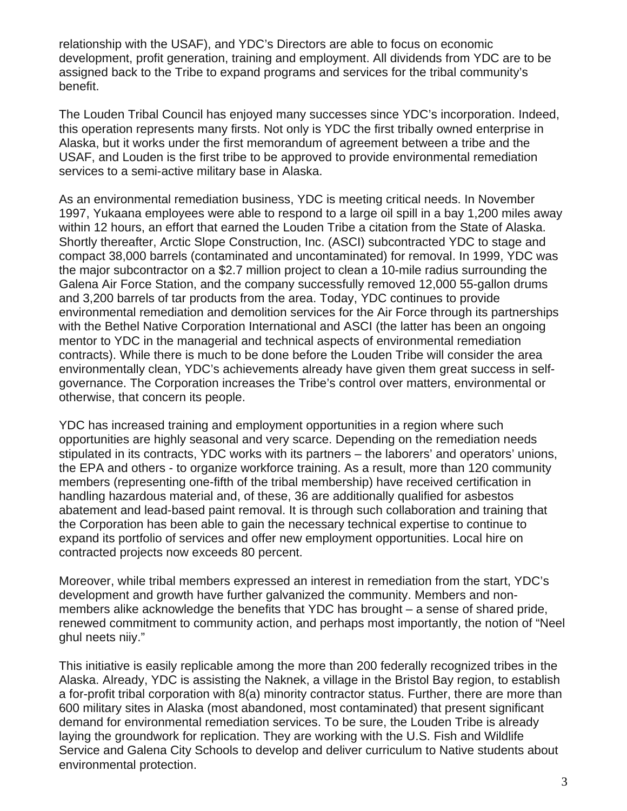relationship with the USAF), and YDC's Directors are able to focus on economic development, profit generation, training and employment. All dividends from YDC are to be assigned back to the Tribe to expand programs and services for the tribal community's benefit.

The Louden Tribal Council has enjoyed many successes since YDC's incorporation. Indeed, this operation represents many firsts. Not only is YDC the first tribally owned enterprise in Alaska, but it works under the first memorandum of agreement between a tribe and the USAF, and Louden is the first tribe to be approved to provide environmental remediation services to a semi-active military base in Alaska.

As an environmental remediation business, YDC is meeting critical needs. In November 1997, Yukaana employees were able to respond to a large oil spill in a bay 1,200 miles away within 12 hours, an effort that earned the Louden Tribe a citation from the State of Alaska. Shortly thereafter, Arctic Slope Construction, Inc. (ASCI) subcontracted YDC to stage and compact 38,000 barrels (contaminated and uncontaminated) for removal. In 1999, YDC was the major subcontractor on a \$2.7 million project to clean a 10-mile radius surrounding the Galena Air Force Station, and the company successfully removed 12,000 55-gallon drums and 3,200 barrels of tar products from the area. Today, YDC continues to provide environmental remediation and demolition services for the Air Force through its partnerships with the Bethel Native Corporation International and ASCI (the latter has been an ongoing mentor to YDC in the managerial and technical aspects of environmental remediation contracts). While there is much to be done before the Louden Tribe will consider the area environmentally clean, YDC's achievements already have given them great success in selfgovernance. The Corporation increases the Tribe's control over matters, environmental or otherwise, that concern its people.

YDC has increased training and employment opportunities in a region where such opportunities are highly seasonal and very scarce. Depending on the remediation needs stipulated in its contracts, YDC works with its partners – the laborers' and operators' unions, the EPA and others - to organize workforce training. As a result, more than 120 community members (representing one-fifth of the tribal membership) have received certification in handling hazardous material and, of these, 36 are additionally qualified for asbestos abatement and lead-based paint removal. It is through such collaboration and training that the Corporation has been able to gain the necessary technical expertise to continue to expand its portfolio of services and offer new employment opportunities. Local hire on contracted projects now exceeds 80 percent.

Moreover, while tribal members expressed an interest in remediation from the start, YDC's development and growth have further galvanized the community. Members and nonmembers alike acknowledge the benefits that YDC has brought – a sense of shared pride, renewed commitment to community action, and perhaps most importantly, the notion of "Neel ghul neets niiy."

This initiative is easily replicable among the more than 200 federally recognized tribes in the Alaska. Already, YDC is assisting the Naknek, a village in the Bristol Bay region, to establish a for-profit tribal corporation with 8(a) minority contractor status. Further, there are more than 600 military sites in Alaska (most abandoned, most contaminated) that present significant demand for environmental remediation services. To be sure, the Louden Tribe is already laying the groundwork for replication. They are working with the U.S. Fish and Wildlife Service and Galena City Schools to develop and deliver curriculum to Native students about environmental protection.